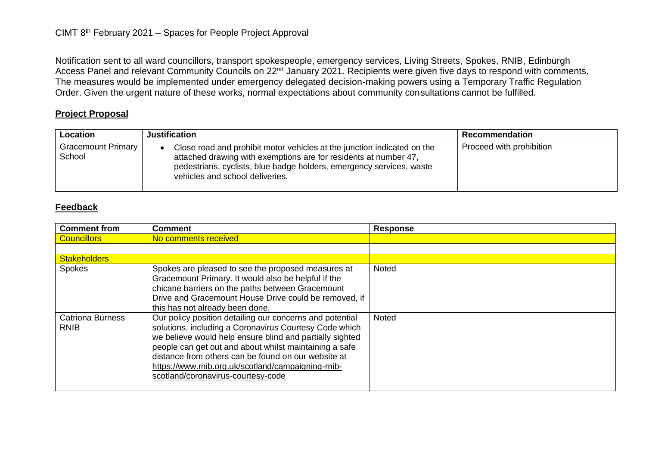Notification sent to all ward councillors, transport spokespeople, emergency services, Living Streets, Spokes, RNIB, Edinburgh Access Panel and relevant Community Councils on 22<sup>nd</sup> January 2021. Recipients were given five days to respond with comments. The measures would be implemented under emergency delegated decision-making powers using a Temporary Traffic Regulation Order. Given the urgent nature of these works, normal expectations about community consultations cannot be fulfilled.

## **Project Proposal**

| Location                            | <b>Justification</b>                                                                                                                                                                                                                                   | Recommendation           |
|-------------------------------------|--------------------------------------------------------------------------------------------------------------------------------------------------------------------------------------------------------------------------------------------------------|--------------------------|
| <b>Gracemount Primary</b><br>School | Close road and prohibit motor vehicles at the junction indicated on the<br>attached drawing with exemptions are for residents at number 47,<br>pedestrians, cyclists, blue badge holders, emergency services, waste<br>vehicles and school deliveries. | Proceed with prohibition |

## **Feedback**

| <b>Comment from</b>                    | <b>Comment</b>                                                                                                                                                                                                                                                                                                                                                                              | <b>Response</b> |
|----------------------------------------|---------------------------------------------------------------------------------------------------------------------------------------------------------------------------------------------------------------------------------------------------------------------------------------------------------------------------------------------------------------------------------------------|-----------------|
| <b>Councillors</b>                     | No comments received                                                                                                                                                                                                                                                                                                                                                                        |                 |
|                                        |                                                                                                                                                                                                                                                                                                                                                                                             |                 |
| <b>Stakeholders</b>                    |                                                                                                                                                                                                                                                                                                                                                                                             |                 |
| <b>Spokes</b>                          | Spokes are pleased to see the proposed measures at<br>Gracemount Primary. It would also be helpful if the<br>chicane barriers on the paths between Gracemount<br>Drive and Gracemount House Drive could be removed, if<br>this has not already been done.                                                                                                                                   | Noted           |
| <b>Catriona Burness</b><br><b>RNIB</b> | Our policy position detailing our concerns and potential<br>solutions, including a Coronavirus Courtesy Code which<br>we believe would help ensure blind and partially sighted<br>people can get out and about whilst maintaining a safe<br>distance from others can be found on our website at<br>https://www.rnib.org.uk/scotland/campaigning-rnib-<br>scotland/coronavirus-courtesy-code | <b>Noted</b>    |